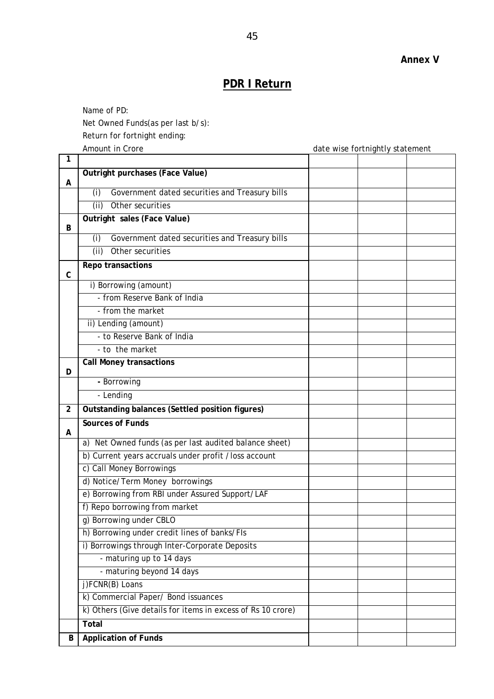## **PDR I Return**

 Name of PD: Net Owned Funds(as per last b/s):

Return for fortnight ending:

Amount in Crore **and Cropy** and Cross and Cross and Cross and Cross and Cross and Cross and Cross and Cross and C

| 1              |                                                             |  |  |
|----------------|-------------------------------------------------------------|--|--|
|                | Outright purchases (Face Value)                             |  |  |
| Α              | Government dated securities and Treasury bills<br>(i)       |  |  |
|                | (ii)<br>Other securities                                    |  |  |
|                | Outright sales (Face Value)                                 |  |  |
| B              |                                                             |  |  |
|                | (i)<br>Government dated securities and Treasury bills       |  |  |
|                | (ii)<br>Other securities                                    |  |  |
| $\mathsf{C}$   | Repo transactions                                           |  |  |
|                | i) Borrowing (amount)                                       |  |  |
|                | - from Reserve Bank of India                                |  |  |
|                | - from the market                                           |  |  |
|                | ii) Lending (amount)                                        |  |  |
|                | - to Reserve Bank of India                                  |  |  |
|                | - to the market                                             |  |  |
| D.             | <b>Call Money transactions</b>                              |  |  |
|                | - Borrowing                                                 |  |  |
|                | - Lending                                                   |  |  |
| $\overline{2}$ | Outstanding balances (Settled position figures)             |  |  |
| A              | <b>Sources of Funds</b>                                     |  |  |
|                | a) Net Owned funds (as per last audited balance sheet)      |  |  |
|                | b) Current years accruals under profit /loss account        |  |  |
|                | c) Call Money Borrowings                                    |  |  |
|                | d) Notice/Term Money borrowings                             |  |  |
|                | e) Borrowing from RBI under Assured Support/LAF             |  |  |
|                | f) Repo borrowing from market                               |  |  |
|                | g) Borrowing under CBLO                                     |  |  |
|                | h) Borrowing under credit lines of banks/FIs                |  |  |
|                | i) Borrowings through Inter-Corporate Deposits              |  |  |
|                | - maturing up to 14 days                                    |  |  |
|                | - maturing beyond 14 days                                   |  |  |
|                | j)FCNR(B) Loans                                             |  |  |
|                | k) Commercial Paper/ Bond issuances                         |  |  |
|                | k) Others (Give details for items in excess of Rs 10 crore) |  |  |
|                | Total                                                       |  |  |
| В              | <b>Application of Funds</b>                                 |  |  |

**Annex V**